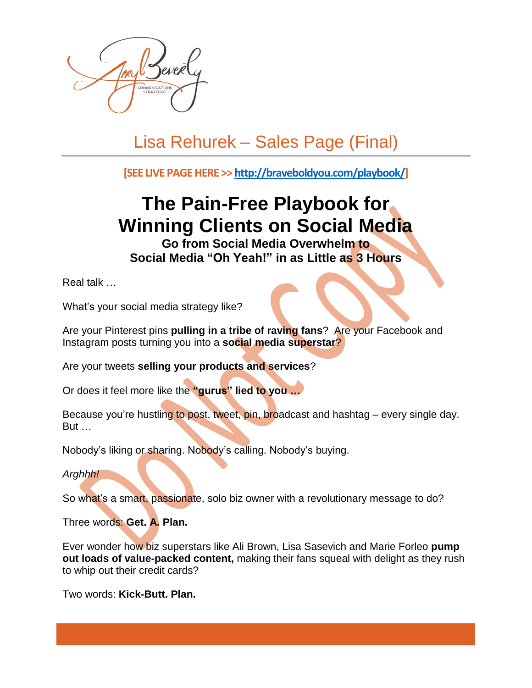

## Lisa Rehurek – Sales Page (Final)

**[SEE LIVE PAGEHERE >> [http://braveboldyou.com/playbook/\]](http://braveboldyou.com/playbook/)**

## **The Pain-Free Playbook for Winning Clients on Social Media**

**Go from Social Media Overwhelm to Social Media "Oh Yeah!" in as Little as 3 Hours**

Real talk …

What's your social media strategy like?

Are your Pinterest pins **pulling in a tribe of raving fans**? Are your Facebook and Instagram posts turning you into a **social media superstar**?

Are your tweets **selling your products and services**?

Or does it feel more like the **"gurus" lied to you …**

Because you're hustling to post, tweet, pin, broadcast and hashtag – every single day. But …

Nobody's liking or sharing. Nobody's calling. Nobody's buying.

*Arghhh!*

So what's a smart, passionate, solo biz owner with a revolutionary message to do?

Three words: **Get. A. Plan.**

Ever wonder how biz superstars like Ali Brown, Lisa Sasevich and Marie Forleo **pump out loads of value-packed content,** making their fans squeal with delight as they rush to whip out their credit cards?

Two words: **Kick-Butt. Plan.**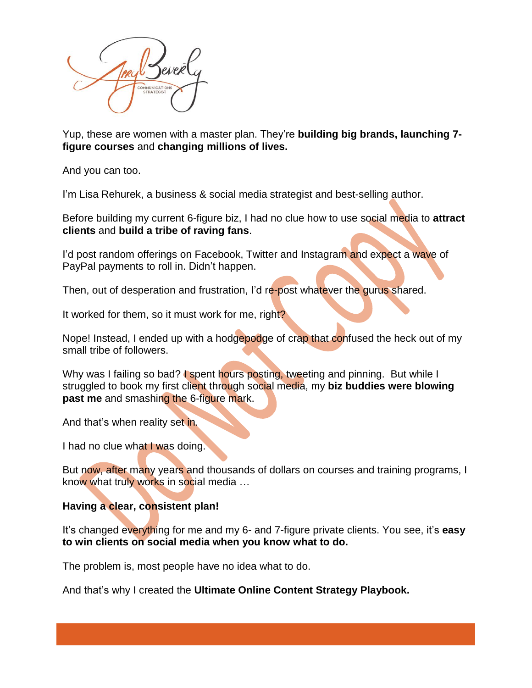

Yup, these are women with a master plan. They're **building big brands, launching 7 figure courses** and **changing millions of lives.**

And you can too.

I'm Lisa Rehurek, a business & social media strategist and best-selling author.

Before building my current 6-figure biz, I had no clue how to use social media to **attract clients** and **build a tribe of raving fans**.

I'd post random offerings on Facebook, Twitter and Instagram and expect a wave of PayPal payments to roll in. Didn't happen.

Then, out of desperation and frustration, I'd re-post whatever the gurus shared.

It worked for them, so it must work for me, right?

Nope! Instead, I ended up with a hodgepodge of crap that confused the heck out of my small tribe of followers.

Why was I failing so bad? I spent hours posting, tweeting and pinning. But while I struggled to book my first client through social media, my **biz buddies were blowing past me** and smashing the 6-figure mark.

And that's when reality set in.

I had no clue what I was doing.

But now, after many years and thousands of dollars on courses and training programs, I know what truly works in social media …

## **Having a clear, consistent plan!**

It's changed everything for me and my 6- and 7-figure private clients. You see, it's **easy to win clients on social media when you know what to do.**

The problem is, most people have no idea what to do.

And that's why I created the **Ultimate Online Content Strategy Playbook.**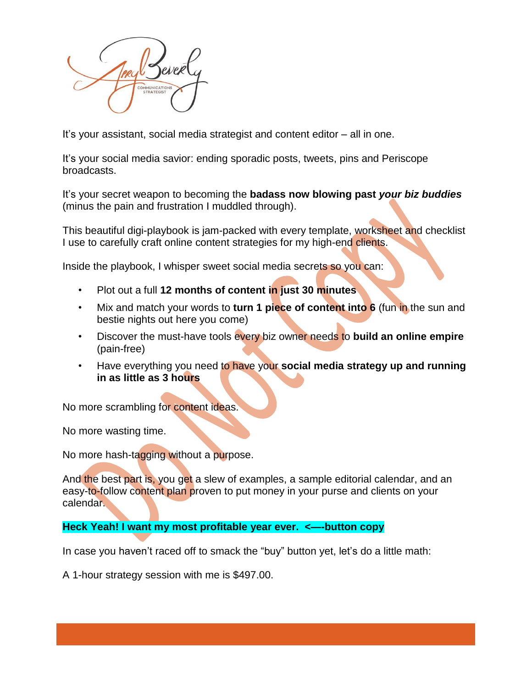

It's your assistant, social media strategist and content editor – all in one.

It's your social media savior: ending sporadic posts, tweets, pins and Periscope broadcasts.

It's your secret weapon to becoming the **badass now blowing past** *your biz buddies* (minus the pain and frustration I muddled through).

This beautiful digi-playbook is jam-packed with every template, worksheet and checklist I use to carefully craft online content strategies for my high-end clients.

Inside the playbook, I whisper sweet social media secrets so you can:

- Plot out a full **12 months of content in just 30 minutes**
- Mix and match your words to **turn 1 piece of content into 6** (fun in the sun and bestie nights out here you come)
- Discover the must-have tools every biz owner needs to **build an online empire** (pain-free)
- Have everything you need to have your **social media strategy up and running in as little as 3 hours**

No more scrambling for content ideas.

No more wasting time.

No more hash-tagging without a purpose.

And the best part is, you get a slew of examples, a sample editorial calendar, and an easy-to-follow content plan proven to put money in your purse and clients on your calendar.

**Heck Yeah! I want my most profitable year ever. <—-button copy**

In case you haven't raced off to smack the "buy" button yet, let's do a little math:

A 1-hour strategy session with me is \$497.00.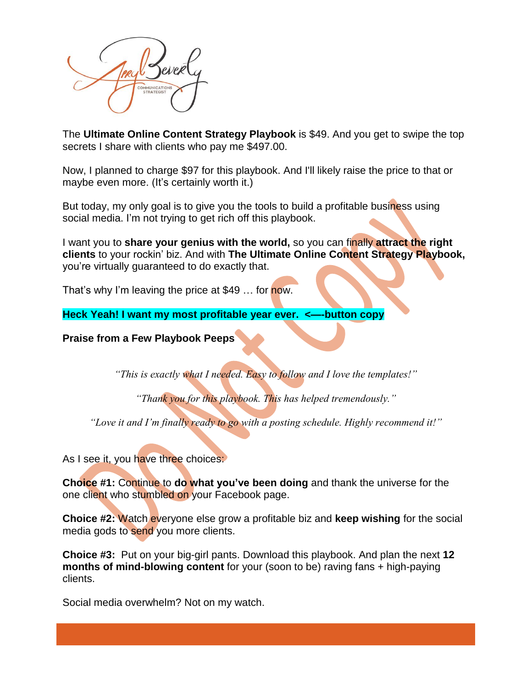

The **Ultimate Online Content Strategy Playbook** is \$49. And you get to swipe the top secrets I share with clients who pay me \$497.00.

Now, I planned to charge \$97 for this playbook. And I'll likely raise the price to that or maybe even more. (It's certainly worth it.)

But today, my only goal is to give you the tools to build a profitable business using social media. I'm not trying to get rich off this playbook.

I want you to **share your genius with the world,** so you can finally **attract the right clients** to your rockin' biz. And with **The Ultimate Online Content Strategy Playbook,** you're virtually guaranteed to do exactly that.

That's why I'm leaving the price at \$49 ... for now.

**Heck Yeah! I want my most profitable year ever. <—-button copy**

## **Praise from a Few Playbook Peeps**

*"This is exactly what I needed. Easy to follow and I love the templates!"*

*"Thank you for this playbook. This has helped tremendously."*

*"Love it and I'm finally ready to go with a posting schedule. Highly recommend it!"*

As I see it, you have three choices:

**Choice #1:** Continue to **do what you've been doing** and thank the universe for the one client who stumbled on your Facebook page.

**Choice #2:** Watch everyone else grow a profitable biz and **keep wishing** for the social media gods to send you more clients.

**Choice #3:** Put on your big-girl pants. Download this playbook. And plan the next **12 months of mind-blowing content** for your (soon to be) raving fans + high-paying clients.

Social media overwhelm? Not on my watch.